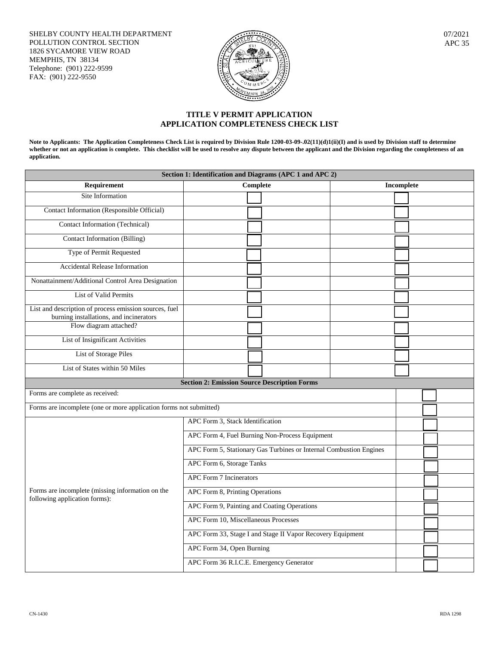SHELBY COUNTY HEALTH DEPARTMENT POLLUTION CONTROL SECTION 1826 SYCAMORE VIEW ROAD MEMPHIS, TN 38134 Telephone: (901) 222-9599 FAX: (901) 222-9550



07/2021 APC 35

## **TITLE V PERMIT APPLICATION APPLICATION COMPLETENESS CHECK LIST**

**Note to Applicants: The Application Completeness Check List is required by Division Rule 1200-03-09-.02(11)(d)1(ii)(I) and is used by Division staff to determine**  whether or not an application is complete. This checklist will be used to resolve any dispute between the applicant and the Division regarding the completeness of an **application.**

| Section 1: Identification and Diagrams (APC 1 and APC 2)                                          |                                                                    |                   |  |  |  |  |
|---------------------------------------------------------------------------------------------------|--------------------------------------------------------------------|-------------------|--|--|--|--|
| Requirement                                                                                       | <b>Complete</b>                                                    | <b>Incomplete</b> |  |  |  |  |
| Site Information                                                                                  |                                                                    |                   |  |  |  |  |
| Contact Information (Responsible Official)                                                        |                                                                    |                   |  |  |  |  |
| <b>Contact Information (Technical)</b>                                                            |                                                                    |                   |  |  |  |  |
| Contact Information (Billing)                                                                     |                                                                    |                   |  |  |  |  |
| Type of Permit Requested                                                                          |                                                                    |                   |  |  |  |  |
| <b>Accidental Release Information</b>                                                             |                                                                    |                   |  |  |  |  |
| Nonattainment/Additional Control Area Designation                                                 |                                                                    |                   |  |  |  |  |
| List of Valid Permits                                                                             |                                                                    |                   |  |  |  |  |
| List and description of process emission sources, fuel<br>burning installations, and incinerators |                                                                    |                   |  |  |  |  |
| Flow diagram attached?                                                                            |                                                                    |                   |  |  |  |  |
| List of Insignificant Activities                                                                  |                                                                    |                   |  |  |  |  |
| <b>List of Storage Piles</b>                                                                      |                                                                    |                   |  |  |  |  |
| List of States within 50 Miles                                                                    |                                                                    |                   |  |  |  |  |
|                                                                                                   | <b>Section 2: Emission Source Description Forms</b>                |                   |  |  |  |  |
| Forms are complete as received:                                                                   |                                                                    |                   |  |  |  |  |
| Forms are incomplete (one or more application forms not submitted)                                |                                                                    |                   |  |  |  |  |
|                                                                                                   | APC Form 3, Stack Identification                                   |                   |  |  |  |  |
| Forms are incomplete (missing information on the<br>following application forms):                 | APC Form 4, Fuel Burning Non-Process Equipment                     |                   |  |  |  |  |
|                                                                                                   | APC Form 5, Stationary Gas Turbines or Internal Combustion Engines |                   |  |  |  |  |
|                                                                                                   | APC Form 6, Storage Tanks                                          |                   |  |  |  |  |
|                                                                                                   | <b>APC Form 7 Incinerators</b>                                     |                   |  |  |  |  |
|                                                                                                   | APC Form 8, Printing Operations                                    |                   |  |  |  |  |
|                                                                                                   | APC Form 9, Painting and Coating Operations                        |                   |  |  |  |  |
|                                                                                                   | APC Form 10, Miscellaneous Processes                               |                   |  |  |  |  |
|                                                                                                   | APC Form 33, Stage I and Stage II Vapor Recovery Equipment         |                   |  |  |  |  |
|                                                                                                   | APC Form 34, Open Burning                                          |                   |  |  |  |  |
|                                                                                                   | APC Form 36 R.I.C.E. Emergency Generator                           |                   |  |  |  |  |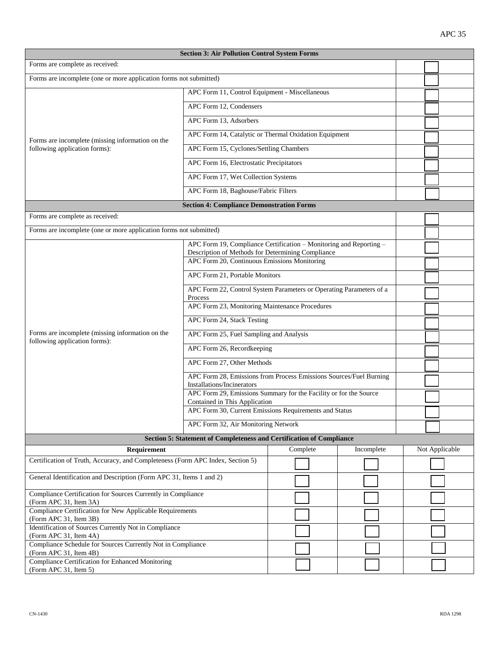| <b>Section 3: Air Pollution Control System Forms</b>                               |                                                                                                 |                                                                    |            |                |  |  |  |
|------------------------------------------------------------------------------------|-------------------------------------------------------------------------------------------------|--------------------------------------------------------------------|------------|----------------|--|--|--|
| Forms are complete as received:                                                    |                                                                                                 |                                                                    |            |                |  |  |  |
| Forms are incomplete (one or more application forms not submitted)                 |                                                                                                 |                                                                    |            |                |  |  |  |
|                                                                                    | APC Form 11, Control Equipment - Miscellaneous                                                  |                                                                    |            |                |  |  |  |
| Forms are incomplete (missing information on the<br>following application forms):  | APC Form 12, Condensers                                                                         |                                                                    |            |                |  |  |  |
|                                                                                    | APC Form 13, Adsorbers                                                                          |                                                                    |            |                |  |  |  |
|                                                                                    | APC Form 14, Catalytic or Thermal Oxidation Equipment                                           |                                                                    |            |                |  |  |  |
|                                                                                    | APC Form 15, Cyclones/Settling Chambers                                                         |                                                                    |            |                |  |  |  |
|                                                                                    | APC Form 16, Electrostatic Precipitators                                                        |                                                                    |            |                |  |  |  |
|                                                                                    | APC Form 17, Wet Collection Systems                                                             |                                                                    |            |                |  |  |  |
|                                                                                    | APC Form 18, Baghouse/Fabric Filters                                                            |                                                                    |            |                |  |  |  |
|                                                                                    | <b>Section 4: Compliance Demonstration Forms</b>                                                |                                                                    |            |                |  |  |  |
| Forms are complete as received:                                                    |                                                                                                 |                                                                    |            |                |  |  |  |
| Forms are incomplete (one or more application forms not submitted)                 |                                                                                                 |                                                                    |            |                |  |  |  |
|                                                                                    |                                                                                                 | APC Form 19, Compliance Certification - Monitoring and Reporting - |            |                |  |  |  |
|                                                                                    |                                                                                                 | Description of Methods for Determining Compliance                  |            |                |  |  |  |
|                                                                                    | APC Form 20, Continuous Emissions Monitoring                                                    |                                                                    |            |                |  |  |  |
|                                                                                    | APC Form 21, Portable Monitors                                                                  |                                                                    |            |                |  |  |  |
|                                                                                    | APC Form 22, Control System Parameters or Operating Parameters of a<br>Process                  |                                                                    |            |                |  |  |  |
|                                                                                    | APC Form 23, Monitoring Maintenance Procedures                                                  |                                                                    |            |                |  |  |  |
|                                                                                    | APC Form 24, Stack Testing                                                                      |                                                                    |            |                |  |  |  |
| Forms are incomplete (missing information on the<br>following application forms):  | APC Form 25, Fuel Sampling and Analysis                                                         |                                                                    |            |                |  |  |  |
|                                                                                    | APC Form 26, Recordkeeping                                                                      |                                                                    |            |                |  |  |  |
|                                                                                    | APC Form 27, Other Methods                                                                      |                                                                    |            |                |  |  |  |
|                                                                                    | APC Form 28, Emissions from Process Emissions Sources/Fuel Burning                              |                                                                    |            |                |  |  |  |
|                                                                                    | Installations/Incinerators<br>APC Form 29, Emissions Summary for the Facility or for the Source |                                                                    |            |                |  |  |  |
|                                                                                    | Contained in This Application<br>APC Form 30, Current Emissions Requirements and Status         |                                                                    |            |                |  |  |  |
|                                                                                    | APC Form 32, Air Monitoring Network                                                             |                                                                    |            |                |  |  |  |
| Section 5: Statement of Completeness and Certification of Compliance               |                                                                                                 |                                                                    |            |                |  |  |  |
| Requirement                                                                        |                                                                                                 | Complete                                                           | Incomplete | Not Applicable |  |  |  |
| Certification of Truth, Accuracy, and Completeness (Form APC Index, Section 5)     |                                                                                                 |                                                                    |            |                |  |  |  |
| General Identification and Description (Form APC 31, Items 1 and 2)                |                                                                                                 |                                                                    |            |                |  |  |  |
| Compliance Certification for Sources Currently in Compliance                       |                                                                                                 |                                                                    |            |                |  |  |  |
| (Form APC 31, Item 3A)                                                             |                                                                                                 |                                                                    |            |                |  |  |  |
| Compliance Certification for New Applicable Requirements<br>(Form APC 31, Item 3B) |                                                                                                 |                                                                    |            |                |  |  |  |
| Identification of Sources Currently Not in Compliance<br>(Form APC 31, Item 4A)    |                                                                                                 |                                                                    |            |                |  |  |  |
| Compliance Schedule for Sources Currently Not in Compliance                        |                                                                                                 |                                                                    |            |                |  |  |  |
| (Form APC 31, Item 4B)<br>Compliance Certification for Enhanced Monitoring         |                                                                                                 |                                                                    |            |                |  |  |  |
| (Form APC 31, Item 5)                                                              |                                                                                                 |                                                                    |            |                |  |  |  |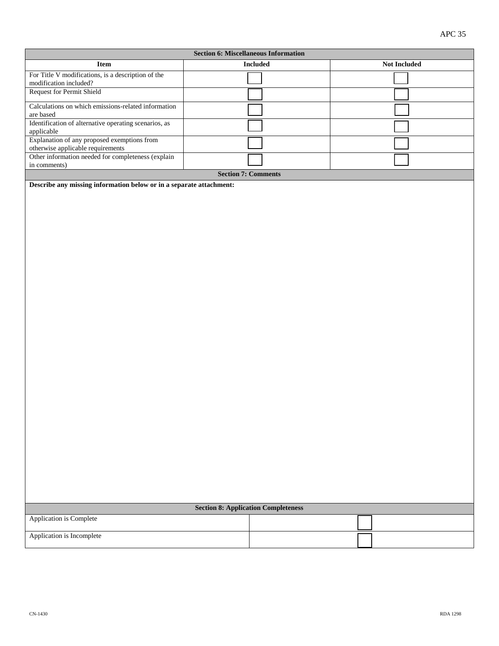| <b>Section 6: Miscellaneous Information</b>                                      |  |                            |  |              |  |  |  |
|----------------------------------------------------------------------------------|--|----------------------------|--|--------------|--|--|--|
| <b>Item</b>                                                                      |  | <b>Included</b>            |  | Not Included |  |  |  |
| For Title V modifications, is a description of the                               |  |                            |  |              |  |  |  |
| modification included?<br><b>Request for Permit Shield</b>                       |  |                            |  |              |  |  |  |
|                                                                                  |  |                            |  |              |  |  |  |
| Calculations on which emissions-related information<br>are based                 |  |                            |  |              |  |  |  |
| Identification of alternative operating scenarios, as                            |  |                            |  |              |  |  |  |
| applicable                                                                       |  |                            |  |              |  |  |  |
| Explanation of any proposed exemptions from<br>otherwise applicable requirements |  |                            |  |              |  |  |  |
| Other information needed for completeness (explain                               |  |                            |  |              |  |  |  |
| in comments)                                                                     |  | <b>Section 7: Comments</b> |  |              |  |  |  |
| Describe any missing information below or in a separate attachment:              |  |                            |  |              |  |  |  |
|                                                                                  |  |                            |  |              |  |  |  |
| <b>Section 8: Application Completeness</b>                                       |  |                            |  |              |  |  |  |
| Application is Complete                                                          |  |                            |  |              |  |  |  |
| Application is Incomplete                                                        |  |                            |  |              |  |  |  |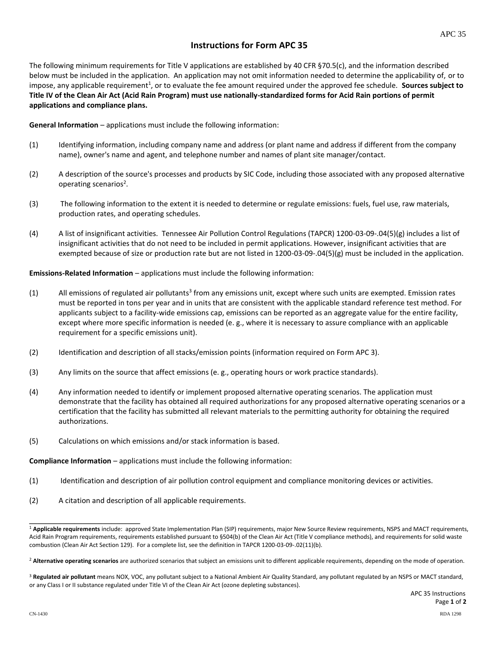## **Instructions for Form APC 35**

The following minimum requirements for Title V applications are established by 40 CFR §70.5(c), and the information described below must be included in the application. An application may not omit information needed to determine the applicability of, or to impose, any applicable requirement<sup>1</sup>, or to evaluate the fee amount required under the approved fee schedule. Sources subject to **Title IV of the Clean Air Act (Acid Rain Program) must use nationally-standardized forms for Acid Rain portions of permit applications and compliance plans.** 

**General Information** – applications must include the following information:

- (1) Identifying information, including company name and address (or plant name and address if different from the company name), owner's name and agent, and telephone number and names of plant site manager/contact.
- (2) A description of the source's processes and products by SIC Code, including those associated with any proposed alternative operating scenarios<sup>2</sup>.
- (3) The following information to the extent it is needed to determine or regulate emissions: fuels, fuel use, raw materials, production rates, and operating schedules.
- (4) A list of insignificant activities. Tennessee Air Pollution Control Regulations (TAPCR) 1200-03-09-.04(5)(g) includes a list of insignificant activities that do not need to be included in permit applications. However, insignificant activities that are exempted because of size or production rate but are not listed in 1200-03-09-.04(5)(g) must be included in the application.

**Emissions-Related Information** – applications must include the following information:

- (1) All emissions of regulated air pollutants<sup>3</sup> from any emissions unit, except where such units are exempted. Emission rates must be reported in tons per year and in units that are consistent with the applicable standard reference test method. For applicants subject to a facility-wide emissions cap, emissions can be reported as an aggregate value for the entire facility, except where more specific information is needed (e. g., where it is necessary to assure compliance with an applicable requirement for a specific emissions unit).
- (2) Identification and description of all stacks/emission points (information required on Form APC 3).
- (3) Any limits on the source that affect emissions (e. g., operating hours or work practice standards).
- (4) Any information needed to identify or implement proposed alternative operating scenarios. The application must demonstrate that the facility has obtained all required authorizations for any proposed alternative operating scenarios or a certification that the facility has submitted all relevant materials to the permitting authority for obtaining the required authorizations.
- (5) Calculations on which emissions and/or stack information is based.

**Compliance Information** – applications must include the following information:

- (1) Identification and description of air pollution control equipment and compliance monitoring devices or activities.
- (2) A citation and description of all applicable requirements.

**\_\_\_\_\_\_\_\_\_\_\_\_\_\_\_\_\_\_\_\_\_\_\_\_\_\_\_**

<sup>1</sup> **Applicable requirements** include: approved State Implementation Plan (SIP) requirements, major New Source Review requirements, NSPS and MACT requirements, Acid Rain Program requirements, requirements established pursuant to §504(b) of the Clean Air Act (Title V compliance methods), and requirements for solid waste combustion (Clean Air Act Section 129). For a complete list, see the definition in TAPCR 1200-03-09-.02(11)(b).

<sup>&</sup>lt;sup>2</sup> Alternative operating scenarios are authorized scenarios that subject an emissions unit to different applicable requirements, depending on the mode of operation.

<sup>&</sup>lt;sup>3</sup> Regulated air pollutant means NOX, VOC, any pollutant subject to a National Ambient Air Quality Standard, any pollutant regulated by an NSPS or MACT standard, or any Class I or II substance regulated under Title VI of the Clean Air Act (ozone depleting substances).